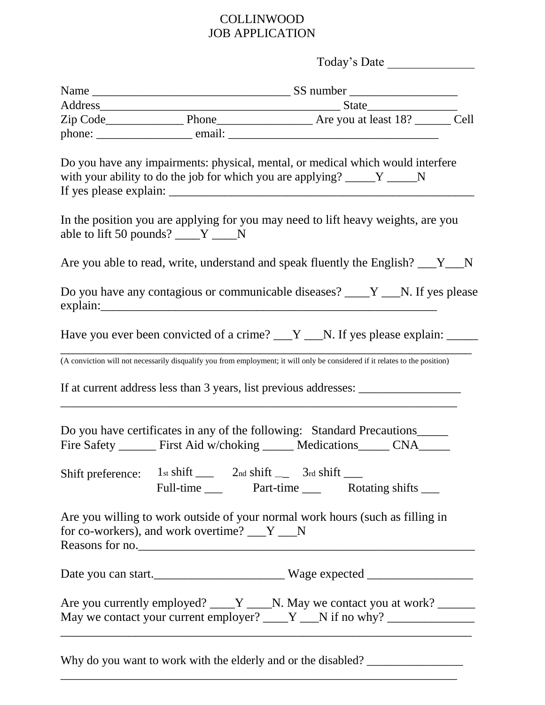## COLLINWOOD JOB APPLICATION

| Today's Date                                                        |                                                                                                                                                                                                                    |  |
|---------------------------------------------------------------------|--------------------------------------------------------------------------------------------------------------------------------------------------------------------------------------------------------------------|--|
|                                                                     |                                                                                                                                                                                                                    |  |
|                                                                     |                                                                                                                                                                                                                    |  |
|                                                                     |                                                                                                                                                                                                                    |  |
|                                                                     |                                                                                                                                                                                                                    |  |
|                                                                     | Do you have any impairments: physical, mental, or medical which would interfere<br>with your ability to do the job for which you are applying? _____Y _____N                                                       |  |
| able to lift 50 pounds? $\_\_Y \_\_N$                               | In the position you are applying for you may need to lift heavy weights, are you                                                                                                                                   |  |
|                                                                     | Are you able to read, write, understand and speak fluently the English? __Y_N                                                                                                                                      |  |
|                                                                     | Do you have any contagious or communicable diseases? ____Y ___N. If yes please                                                                                                                                     |  |
|                                                                     | Have you ever been convicted of a crime? $Y_{\text{max}}$ N. If yes please explain: $\frac{1}{1}$                                                                                                                  |  |
|                                                                     | (A conviction will not necessarily disqualify you from employment; it will only be considered if it relates to the position)                                                                                       |  |
|                                                                     |                                                                                                                                                                                                                    |  |
| Shift preference: 1st shift ______ 2nd shift ______ 3rd shift _____ | Do you have certificates in any of the following: Standard Precautions<br>Fire Safety _______ First Aid w/choking _____ Medications _____ CNA_____                                                                 |  |
|                                                                     | Full-time _____ Part-time _____ Rotating shifts _____                                                                                                                                                              |  |
| for co-workers), and work overtime? ___Y ___N                       | Are you willing to work outside of your normal work hours (such as filling in<br>Reasons for no.                                                                                                                   |  |
|                                                                     | Date you can start.                                                                                                                                                                                                |  |
|                                                                     | Are you currently employed? ____Y ____N. May we contact you at work? ______<br>May we contact your current employer? $\underline{\hspace{1cm}} Y \underline{\hspace{1cm}} N$ if no why? $\underline{\hspace{1cm}}$ |  |
|                                                                     |                                                                                                                                                                                                                    |  |

Why do you want to work with the elderly and or the disabled? \_\_\_\_\_\_\_\_\_\_\_\_\_\_\_\_\_\_\_

 $\frac{1}{2}$  , and the contribution of the contribution of the contribution of the contribution of the contribution of the contribution of the contribution of the contribution of the contribution of the contribution of the c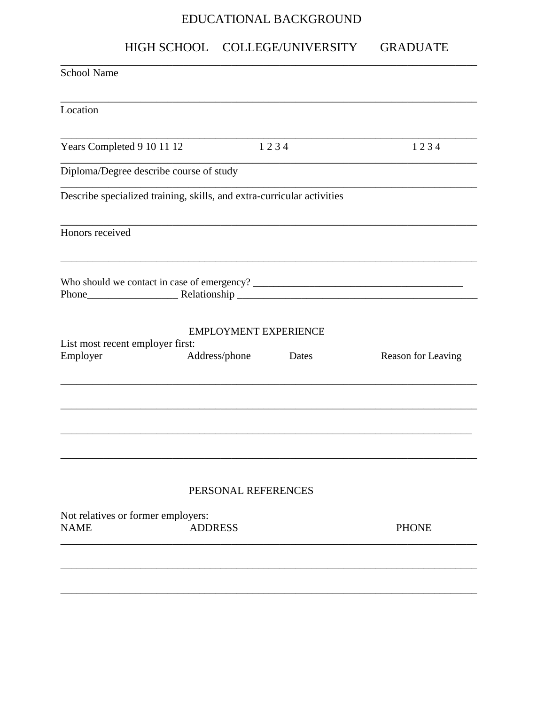## EDUCATIONAL BACKGROUND

# HIGH SCHOOL COLLEGE/UNIVERSITY GRADUATE

| <b>School Name</b>                                |                                                                        |       |                    |
|---------------------------------------------------|------------------------------------------------------------------------|-------|--------------------|
| Location                                          |                                                                        |       |                    |
| Years Completed 9 10 11 12                        |                                                                        | 1234  | 1234               |
| Diploma/Degree describe course of study           |                                                                        |       |                    |
|                                                   | Describe specialized training, skills, and extra-curricular activities |       |                    |
| Honors received                                   |                                                                        |       |                    |
|                                                   |                                                                        |       |                    |
| List most recent employer first:<br>Employer      | <b>EMPLOYMENT EXPERIENCE</b><br>Address/phone                          | Dates | Reason for Leaving |
|                                                   |                                                                        |       |                    |
|                                                   | PERSONAL REFERENCES                                                    |       |                    |
| Not relatives or former employers:<br><b>NAME</b> | <b>ADDRESS</b>                                                         |       | <b>PHONE</b>       |
|                                                   |                                                                        |       |                    |
|                                                   |                                                                        |       |                    |